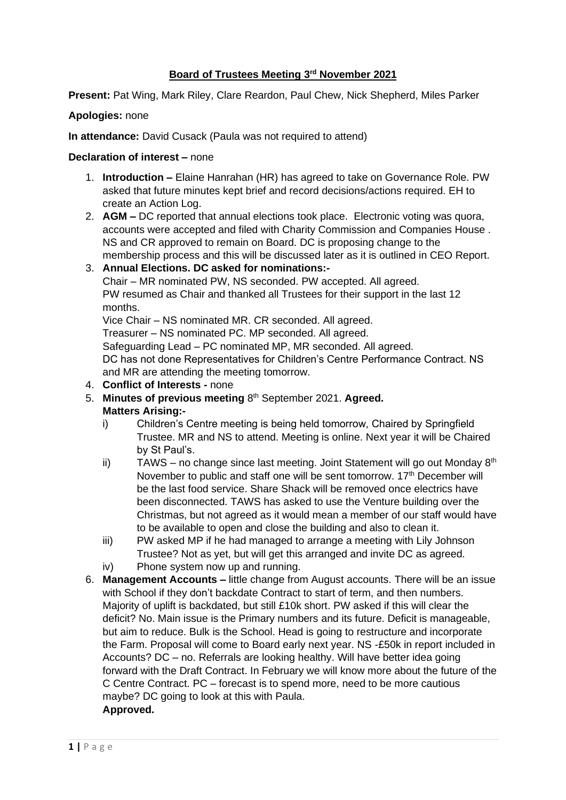### **Board of Trustees Meeting 3 rd November 2021**

**Present:** Pat Wing, Mark Riley, Clare Reardon, Paul Chew, Nick Shepherd, Miles Parker

### **Apologies:** none

**In attendance:** David Cusack (Paula was not required to attend)

### **Declaration of interest –** none

- 1. **Introduction –** Elaine Hanrahan (HR) has agreed to take on Governance Role. PW asked that future minutes kept brief and record decisions/actions required. EH to create an Action Log.
- 2. **AGM –** DC reported that annual elections took place. Electronic voting was quora, accounts were accepted and filed with Charity Commission and Companies House . NS and CR approved to remain on Board. DC is proposing change to the membership process and this will be discussed later as it is outlined in CEO Report.

# 3. **Annual Elections. DC asked for nominations:-**

Chair – MR nominated PW, NS seconded. PW accepted. All agreed. PW resumed as Chair and thanked all Trustees for their support in the last 12 months.

Vice Chair – NS nominated MR. CR seconded. All agreed. Treasurer – NS nominated PC. MP seconded. All agreed. Safeguarding Lead – PC nominated MP, MR seconded. All agreed. DC has not done Representatives for Children's Centre Performance Contract. NS

and MR are attending the meeting tomorrow.

- 4. **Conflict of Interests -** none
- 5. Minutes of previous meeting 8<sup>th</sup> September 2021. Agreed. **Matters Arising:**
	- i) Children's Centre meeting is being held tomorrow, Chaired by Springfield Trustee. MR and NS to attend. Meeting is online. Next year it will be Chaired by St Paul's.
	- ii) TAWS no change since last meeting. Joint Statement will go out Monday  $8<sup>th</sup>$ November to public and staff one will be sent tomorrow. 17<sup>th</sup> December will be the last food service. Share Shack will be removed once electrics have been disconnected. TAWS has asked to use the Venture building over the Christmas, but not agreed as it would mean a member of our staff would have to be available to open and close the building and also to clean it.
	- iii) PW asked MP if he had managed to arrange a meeting with Lily Johnson Trustee? Not as yet, but will get this arranged and invite DC as agreed.
	- iv) Phone system now up and running.
- 6. **Management Accounts –** little change from August accounts. There will be an issue with School if they don't backdate Contract to start of term, and then numbers. Majority of uplift is backdated, but still £10k short. PW asked if this will clear the deficit? No. Main issue is the Primary numbers and its future. Deficit is manageable, but aim to reduce. Bulk is the School. Head is going to restructure and incorporate the Farm. Proposal will come to Board early next year. NS -£50k in report included in Accounts? DC – no. Referrals are looking healthy. Will have better idea going forward with the Draft Contract. In February we will know more about the future of the C Centre Contract. PC – forecast is to spend more, need to be more cautious maybe? DC going to look at this with Paula. **Approved.**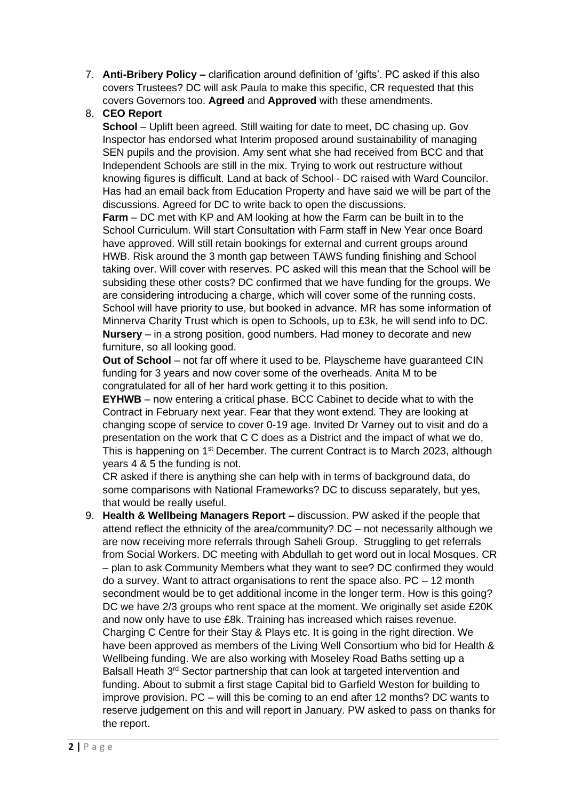7. **Anti-Bribery Policy –** clarification around definition of 'gifts'. PC asked if this also covers Trustees? DC will ask Paula to make this specific, CR requested that this covers Governors too. **Agreed** and **Approved** with these amendments.

# 8. **CEO Report**

**School** – Uplift been agreed. Still waiting for date to meet, DC chasing up. Gov Inspector has endorsed what Interim proposed around sustainability of managing SEN pupils and the provision. Amy sent what she had received from BCC and that Independent Schools are still in the mix. Trying to work out restructure without knowing figures is difficult. Land at back of School - DC raised with Ward Councilor. Has had an email back from Education Property and have said we will be part of the discussions. Agreed for DC to write back to open the discussions.

**Farm** – DC met with KP and AM looking at how the Farm can be built in to the School Curriculum. Will start Consultation with Farm staff in New Year once Board have approved. Will still retain bookings for external and current groups around HWB. Risk around the 3 month gap between TAWS funding finishing and School taking over. Will cover with reserves. PC asked will this mean that the School will be subsiding these other costs? DC confirmed that we have funding for the groups. We are considering introducing a charge, which will cover some of the running costs. School will have priority to use, but booked in advance. MR has some information of Minnerva Charity Trust which is open to Schools, up to £3k, he will send info to DC. **Nursery** – in a strong position, good numbers. Had money to decorate and new furniture, so all looking good.

**Out of School** – not far off where it used to be. Playscheme have guaranteed CIN funding for 3 years and now cover some of the overheads. Anita M to be congratulated for all of her hard work getting it to this position.

**EYHWB** – now entering a critical phase. BCC Cabinet to decide what to with the Contract in February next year. Fear that they wont extend. They are looking at changing scope of service to cover 0-19 age. Invited Dr Varney out to visit and do a presentation on the work that C C does as a District and the impact of what we do, This is happening on 1<sup>st</sup> December. The current Contract is to March 2023, although years 4 & 5 the funding is not.

CR asked if there is anything she can help with in terms of background data, do some comparisons with National Frameworks? DC to discuss separately, but yes, that would be really useful.

9. **Health & Wellbeing Managers Report –** discussion. PW asked if the people that attend reflect the ethnicity of the area/community? DC – not necessarily although we are now receiving more referrals through Saheli Group. Struggling to get referrals from Social Workers. DC meeting with Abdullah to get word out in local Mosques. CR – plan to ask Community Members what they want to see? DC confirmed they would do a survey. Want to attract organisations to rent the space also. PC – 12 month secondment would be to get additional income in the longer term. How is this going? DC we have 2/3 groups who rent space at the moment. We originally set aside £20K and now only have to use £8k. Training has increased which raises revenue. Charging C Centre for their Stay & Plays etc. It is going in the right direction. We have been approved as members of the Living Well Consortium who bid for Health & Wellbeing funding. We are also working with Moseley Road Baths setting up a Balsall Heath 3<sup>rd</sup> Sector partnership that can look at targeted intervention and funding. About to submit a first stage Capital bid to Garfield Weston for building to improve provision. PC – will this be coming to an end after 12 months? DC wants to reserve judgement on this and will report in January. PW asked to pass on thanks for the report.